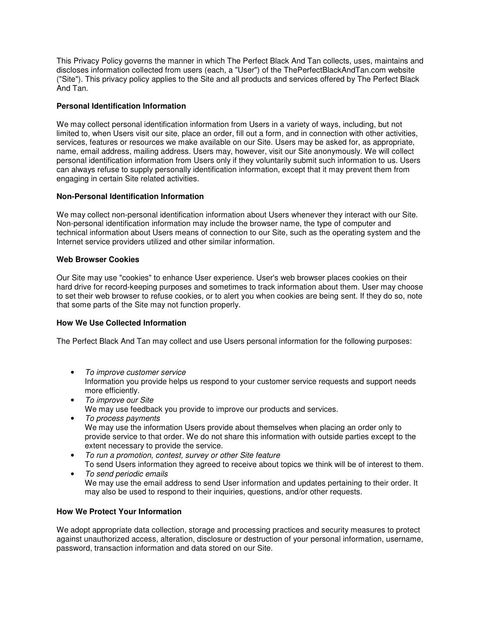This Privacy Policy governs the manner in which The Perfect Black And Tan collects, uses, maintains and discloses information collected from users (each, a "User") of the ThePerfectBlackAndTan.com website ("Site"). This privacy policy applies to the Site and all products and services offered by The Perfect Black And Tan.

## **Personal Identification Information**

We may collect personal identification information from Users in a variety of ways, including, but not limited to, when Users visit our site, place an order, fill out a form, and in connection with other activities, services, features or resources we make available on our Site. Users may be asked for, as appropriate, name, email address, mailing address. Users may, however, visit our Site anonymously. We will collect personal identification information from Users only if they voluntarily submit such information to us. Users can always refuse to supply personally identification information, except that it may prevent them from engaging in certain Site related activities.

## **Non-Personal Identification Information**

We may collect non-personal identification information about Users whenever they interact with our Site. Non-personal identification information may include the browser name, the type of computer and technical information about Users means of connection to our Site, such as the operating system and the Internet service providers utilized and other similar information.

## **Web Browser Cookies**

Our Site may use "cookies" to enhance User experience. User's web browser places cookies on their hard drive for record-keeping purposes and sometimes to track information about them. User may choose to set their web browser to refuse cookies, or to alert you when cookies are being sent. If they do so, note that some parts of the Site may not function properly.

## **How We Use Collected Information**

The Perfect Black And Tan may collect and use Users personal information for the following purposes:

- To improve customer service Information you provide helps us respond to your customer service requests and support needs more efficiently.
- To improve our Site We may use feedback you provide to improve our products and services.
- To process payments We may use the information Users provide about themselves when placing an order only to provide service to that order. We do not share this information with outside parties except to the extent necessary to provide the service.
- To run a promotion, contest, survey or other Site feature To send Users information they agreed to receive about topics we think will be of interest to them.
- To send periodic emails We may use the email address to send User information and updates pertaining to their order. It may also be used to respond to their inquiries, questions, and/or other requests.

# **How We Protect Your Information**

We adopt appropriate data collection, storage and processing practices and security measures to protect against unauthorized access, alteration, disclosure or destruction of your personal information, username, password, transaction information and data stored on our Site.